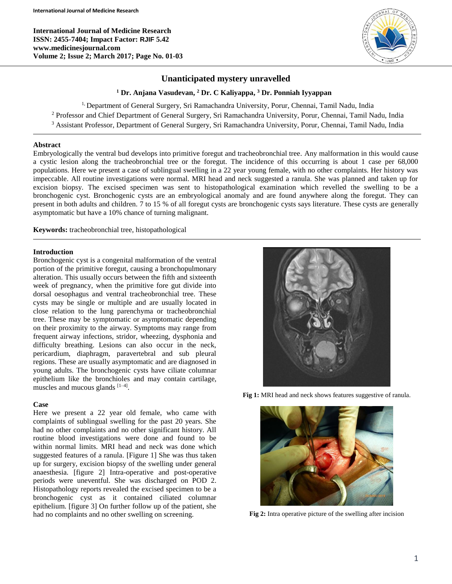**International Journal of Medicine Research ISSN: 2455-7404; Impact Factor: RJIF 5.42 www.medicinesjournal.com Volume 2; Issue 2; March 2017; Page No. 01-03**



# **Unanticipated mystery unravelled**

**<sup>1</sup> Dr. Anjana Vasudevan, <sup>2</sup> Dr. C Kaliyappa, <sup>3</sup> Dr. Ponniah Iyyappan**

<sup>1,</sup> Department of General Surgery, Sri Ramachandra University, Porur, Chennai, Tamil Nadu, India

<sup>2</sup> Professor and Chief Department of General Surgery, Sri Ramachandra University, Porur, Chennai, Tamil Nadu, India

<sup>3</sup> Assistant Professor, Department of General Surgery, Sri Ramachandra University, Porur, Chennai, Tamil Nadu, India

### **Abstract**

Embryologically the ventral bud develops into primitive foregut and tracheobronchial tree. Any malformation in this would cause a cystic lesion along the tracheobronchial tree or the foregut. The incidence of this occurring is about 1 case per 68,000 populations. Here we present a case of sublingual swelling in a 22 year young female, with no other complaints. Her history was impeccable. All routine investigations were normal. MRI head and neck suggested a ranula. She was planned and taken up for excision biopsy. The excised specimen was sent to histopathological examination which revelled the swelling to be a bronchogenic cyst. Bronchogenic cysts are an embryological anomaly and are found anywhere along the foregut. They can present in both adults and children. 7 to 15 % of all foregut cysts are bronchogenic cysts says literature. These cysts are generally asymptomatic but have a 10% chance of turning malignant.

**Keywords:** tracheobronchial tree, histopathological

## **Introduction**

Bronchogenic cyst is a congenital malformation of the ventral portion of the primitive foregut, causing a bronchopulmonary alteration. This usually occurs between the fifth and sixteenth week of pregnancy, when the primitive fore gut divide into dorsal oesophagus and ventral tracheobronchial tree. These cysts may be single or multiple and are usually located in close relation to the lung parenchyma or tracheobronchial tree. These may be symptomatic or asymptomatic depending on their proximity to the airway. Symptoms may range from frequent airway infections, stridor, wheezing, dysphonia and difficulty breathing. Lesions can also occur in the neck, pericardium, diaphragm, paravertebral and sub pleural regions. These are usually asymptomatic and are diagnosed in young adults. The bronchogenic cysts have ciliate columnar epithelium like the bronchioles and may contain cartilage, muscles and mucous glands [1-4].

#### **Case**

Here we present a 22 year old female, who came with complaints of sublingual swelling for the past 20 years. She had no other complaints and no other significant history. All routine blood investigations were done and found to be within normal limits. MRI head and neck was done which suggested features of a ranula. [Figure 1] She was thus taken up for surgery, excision biopsy of the swelling under general anaesthesia. [figure 2] Intra-operative and post-operative periods were uneventful. She was discharged on POD 2. Histopathology reports revealed the excised specimen to be a bronchogenic cyst as it contained ciliated columnar epithelium. [figure 3] On further follow up of the patient, she had no complaints and no other swelling on screening.



**Fig 1:** MRI head and neck shows features suggestive of ranula.



**Fig 2:** Intra operative picture of the swelling after incision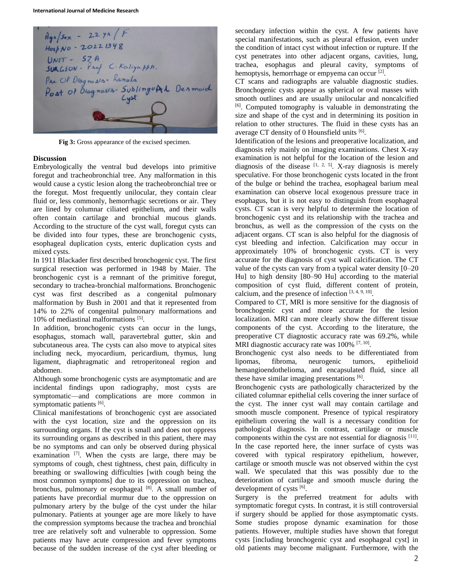

**Fig 3:** Gross appearance of the excised specimen.

### **Discussion**

Embryologically the ventral bud develops into primitive foregut and tracheobronchial tree. Any malformation in this would cause a cystic lesion along the tracheobronchial tree or the foregut. Most frequently unilocular, they contain clear fluid or, less commonly, hemorrhagic secretions or air. They are lined by columnar ciliated epithelium, and their walls often contain cartilage and bronchial mucous glands. According to the structure of the cyst wall, foregut cysts can be divided into four types, these are bronchogenic cysts, esophageal duplication cysts, enteric duplication cysts and mixed cysts.

In 1911 Blackader first described bronchogenic cyst. The first surgical resection was performed in 1948 by Maier. The bronchogenic cyst is a remnant of the primitive foregut, secondary to trachea-bronchial malformations. Bronchogenic cyst was first described as a congenital pulmonary malformation by Bush in 2001 and that it represented from 14% to 22% of congenital pulmonary malformations and 10% of mediastinal malformations [5] .

In addition, bronchogenic cysts can occur in the lungs, esophagus, stomach wall, paravertebral gutter, skin and subcutaneous area. The cysts can also move to atypical sites including neck, myocardium, pericardium, thymus, lung ligament, diaphragmatic and retroperitoneal region and abdomen.

Although some bronchogenic cysts are asymptomatic and are incidental findings upon radiography, most cysts are symptomatic—and complications are more common in symptomatic patients [6].

Clinical manifestations of bronchogenic cyst are associated with the cyst location, size and the oppression on its surrounding organs. If the cyst is small and does not oppress its surrounding organs as described in this patient, there may be no symptoms and can only be observed during physical examination [7]. When the cysts are large, there may be symptoms of cough, chest tightness, chest pain, difficulty in breathing or swallowing difficulties [with cough being the most common symptoms] due to its oppression on trachea, bronchus, pulmonary or esophageal [8]. A small number of patients have precordial murmur due to the oppression on pulmonary artery by the bulge of the cyst under the hilar pulmonary. Patients at younger age are more likely to have the compression symptoms because the trachea and bronchial tree are relatively soft and vulnerable to oppression. Some patients may have acute compression and fever symptoms because of the sudden increase of the cyst after bleeding or

secondary infection within the cyst. A few patients have special manifestations, such as pleural effusion, even under the condition of intact cyst without infection or rupture. If the cyst penetrates into other adjacent organs, cavities, lung, trachea, esophagus and pleural cavity, symptoms of hemoptysis, hemorrhage or empyema can occur<sup>[2]</sup>.

CT scans and radiographs are valuable diagnostic studies. Bronchogenic cysts appear as spherical or oval masses with smooth outlines and are usually unilocular and noncalcified [6] . Computed tomography is valuable in demonstrating the size and shape of the cyst and in determining its position in relation to other structures. The fluid in these cysts has an average CT density of 0 Hounsfield units [6].

Identification of the lesions and preoperative localization, and diagnosis rely mainly on imaging examinations. Chest X-ray examination is not helpful for the location of the lesion and diagnosis of the disease  $[1, 2, 5]$ . X-ray diagnosis is merely speculative. For those bronchogenic cysts located in the front of the bulge or behind the trachea, esophageal barium meal examination can observe local exogenous pressure trace in esophagus, but it is not easy to distinguish from esophageal cysts. CT scan is very helpful to determine the location of bronchogenic cyst and its relationship with the trachea and bronchus, as well as the compression of the cysts on the adjacent organs. CT scan is also helpful for the diagnosis of cyst bleeding and infection. Calcification may occur in approximately 10% of bronchogenic cysts. CT is very accurate for the diagnosis of cyst wall calcification. The CT value of the cysts can vary from a typical water density [0–20 Hu] to high density [80–90 Hu] according to the material composition of cyst fluid, different content of protein, calcium, and the presence of infection  $[3, 4, 9, 10]$ .

Compared to CT, MRI is more sensitive for the diagnosis of bronchogenic cyst and more accurate for the lesion localization. MRI can more clearly show the different tissue components of the cyst. According to the literature, the preoperative CT diagnostic accuracy rate was 69.2%, while MRI diagnostic accuracy rate was 100% <sup>[7, 10]</sup>.

Bronchogenic cyst also needs to be differentiated from lipomas, fibroma, neurogenic tumors, epithelioid hemangioendothelioma, and encapsulated fluid, since all these have similar imaging presentations [6].

Bronchogenic cysts are pathologically characterized by the ciliated columnar epithelial cells covering the inner surface of the cyst. The inner cyst wall may contain cartilage and smooth muscle component. Presence of typical respiratory epithelium covering the wall is a necessary condition for pathological diagnosis. In contrast, cartilage or muscle components within the cyst are not essential for diagnosis [11]. In the case reported here, the inner surface of cysts was covered with typical respiratory epithelium, however, cartilage or smooth muscle was not observed within the cyst wall. We speculated that this was possibly due to the deterioration of cartilage and smooth muscle during the development of cysts [6].

Surgery is the preferred treatment for adults with symptomatic foregut cysts. In contrast, it is still controversial if surgery should be applied for those asymptomatic cysts. Some studies propose dynamic examination for those patients. However, multiple studies have shown that foregut cysts [including bronchogenic cyst and esophageal cyst] in old patients may become malignant. Furthermore, with the